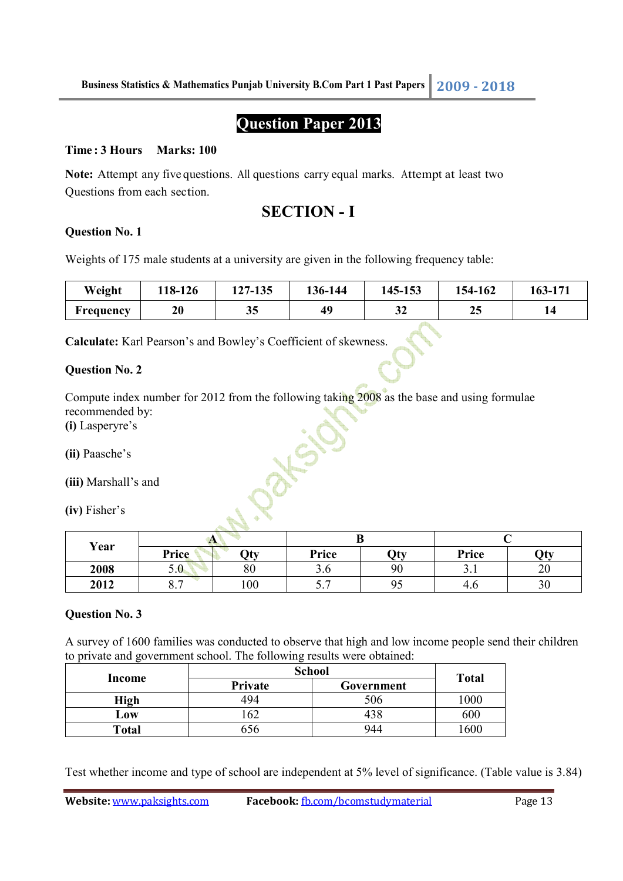# **Question Paper 2013**

#### **Time : 3 Hours Marks: 100**

**Note:** Attempt any five questions. All questions carry equal marks. Attempt at least two Questions from each section.

### **SECTION - I**

#### **Question No. 1**

Weights of 175 male students at a university are given in the following frequency table:

| Weight    | 18-126 | 127-135 | 136-144 | 145-153 | 154-162 | 163-171 |
|-----------|--------|---------|---------|---------|---------|---------|
| Frequency | 20     | 35      | 49      | ີ<br>⊭د | 25      |         |

**Calculate:** Karl Pearson's and Bowley's Coefficient of skewness.

#### **Question No. 2**

Compute index number for 2012 from the following taking 2008 as the base and using formulae recommended by:

**(i)** Lasperyre's

**(ii)** Paasche's

**(iii)** Marshall's and

**(iv)** Fisher's

| Year |                       |     |                                      |     |       |     |
|------|-----------------------|-----|--------------------------------------|-----|-------|-----|
|      | Price                 | Qty | Price                                | Qty | Price | Oty |
| 2008 | 5.0                   | 80  | J.V                                  | 90  | J.I   | 20  |
| 2012 | $\overline{ }$<br>0.7 | 100 | $\overline{ }$<br>$\cup \cdot \cdot$ | 95  | 4.6   | 30  |

#### **Question No. 3**

A survey of 1600 families was conducted to observe that high and low income people send their children to private and government school. The following results were obtained:

| Income | <b>School</b> | <b>Total</b> |      |  |
|--------|---------------|--------------|------|--|
|        | Private       | Government   |      |  |
| High   | 494           | 506          | 1000 |  |
| Low    | 62            | 438          | 600  |  |
| Total  | 56            | 944          | .600 |  |

Test whether income and type of school are independent at 5% level of significance. (Table value is 3.84)